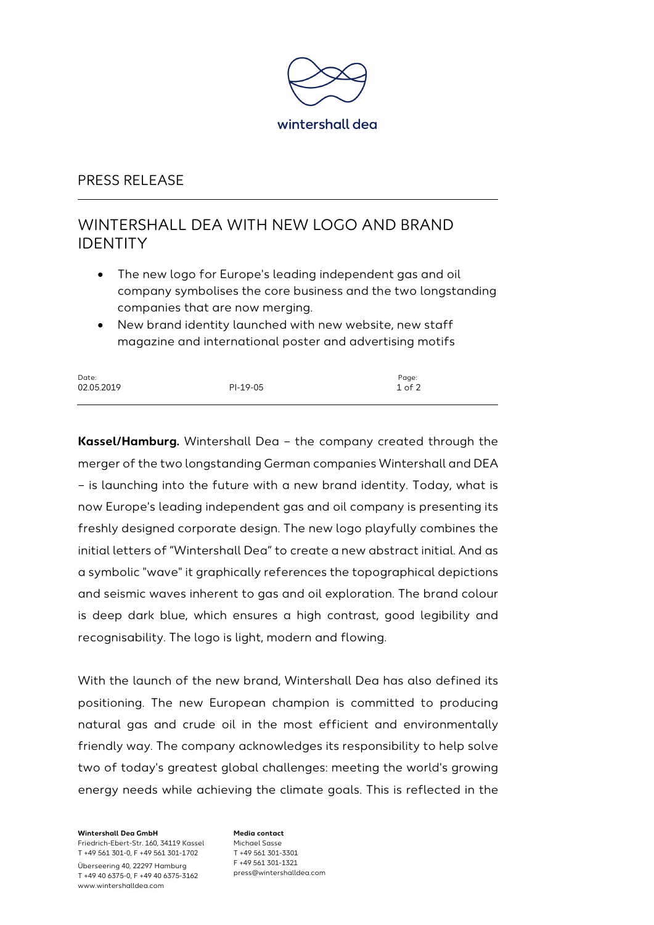

#### PRESS RELEASE

# WINTERSHALL DEA WITH NEW LOGO AND BRAND IDENTITY

- The new logo for Europe's leading independent gas and oil company symbolises the core business and the two longstanding companies that are now merging.
- New brand identity launched with new website, new staff magazine and international poster and advertising motifs

| Date:      |          | Page:      |
|------------|----------|------------|
| 02.05.2019 | PI-19-05 | $1$ of $2$ |
|            |          |            |

**Kassel/Hamburg.** Wintershall Dea – the company created through the merger of the two longstanding German companies Wintershall and DEA – is launching into the future with a new brand identity. Today, what is now Europe's leading independent gas and oil company is presenting its freshly designed corporate design. The new logo playfully combines the initial letters of "Wintershall Dea" to create a new abstract initial. And as a symbolic "wave" it graphically references the topographical depictions and seismic waves inherent to gas and oil exploration. The brand colour is deep dark blue, which ensures a high contrast, good legibility and recognisability. The logo is light, modern and flowing.

With the launch of the new brand, Wintershall Dea has also defined its positioning. The new European champion is committed to producing natural gas and crude oil in the most efficient and environmentally friendly way. The company acknowledges its responsibility to help solve two of today's greatest global challenges: meeting the world's growing energy needs while achieving the climate goals. This is reflected in the

**Wintershall Dea GmbH** Friedrich-Ebert-Str. 160, 34119 Kassel T +49 561 301-0, F +49 561 301-1702 Überseering 40, 22297 Hamburg T +49 40 6375-0, F +49 40 6375-3162

www.wintershalldea.com

**Media contact** Michael Sasse T +49 561 301-3301 F +49 561 301-1321 press@wintershalldea.com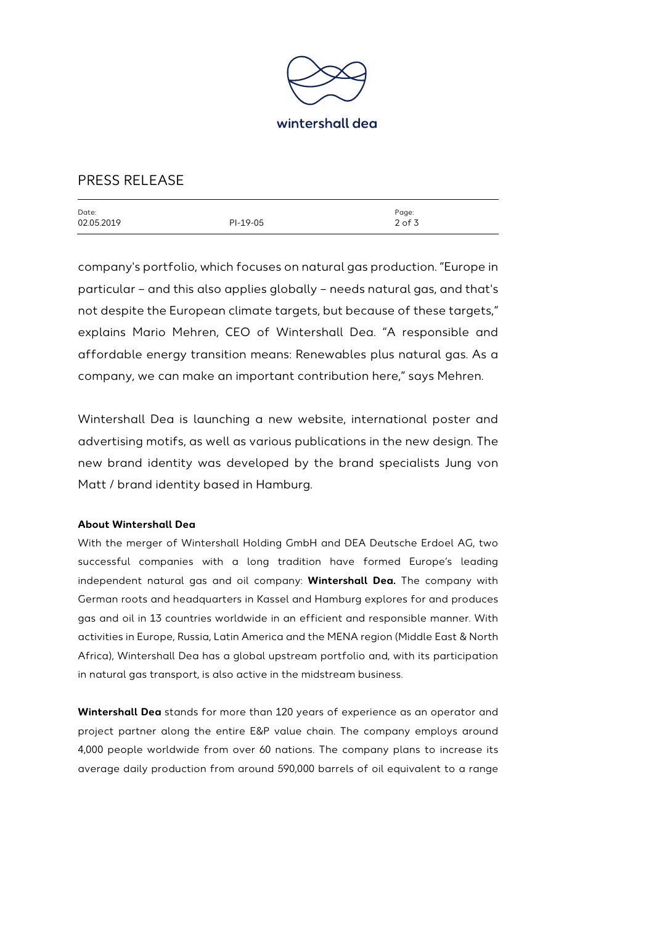

### PRESS RELEASE

| Date:      |          | Page:    |
|------------|----------|----------|
| 02.05.2019 | PI-19-05 | $2$ of 3 |
|            |          |          |

company's portfolio, which focuses on natural gas production. "Europe in particular – and this also applies globally – needs natural gas, and that's not despite the European climate targets, but because of these targets," explains Mario Mehren, CEO of Wintershall Dea. "A responsible and affordable energy transition means: Renewables plus natural gas. As a company, we can make an important contribution here," says Mehren.

Wintershall Dea is launching a new website, international poster and advertising motifs, as well as various publications in the new design. The new brand identity was developed by the brand specialists Jung von Matt / brand identity based in Hamburg.

#### **About Wintershall Dea**

With the merger of Wintershall Holding GmbH and DEA Deutsche Erdoel AG, two successful companies with a long tradition have formed Europe's leading independent natural gas and oil company: **Wintershall Dea.** The company with German roots and headquarters in Kassel and Hamburg explores for and produces gas and oil in 13 countries worldwide in an efficient and responsible manner. With activities in Europe, Russia, Latin America and the MENA region (Middle East & North Africa), Wintershall Dea has a global upstream portfolio and, with its participation in natural gas transport, is also active in the midstream business.

**Wintershall Dea** stands for more than 120 years of experience as an operator and project partner along the entire E&P value chain. The company employs around 4,000 people worldwide from over 60 nations. The company plans to increase its average daily production from around 590,000 barrels of oil equivalent to a range